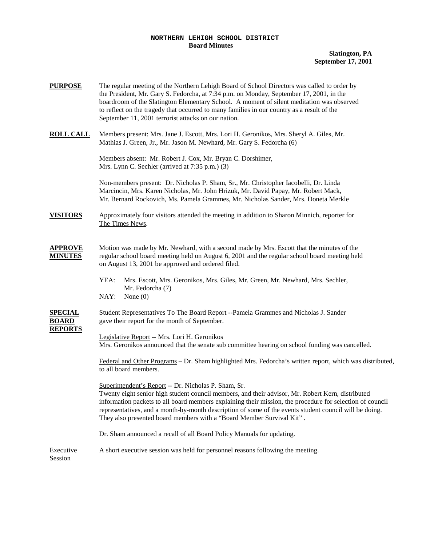## **NORTHERN LEHIGH SCHOOL DISTRICT Board Minutes**

| <b>PURPOSE</b>                                   | The regular meeting of the Northern Lehigh Board of School Directors was called to order by<br>the President, Mr. Gary S. Fedorcha, at 7:34 p.m. on Monday, September 17, 2001, in the<br>boardroom of the Slatington Elementary School. A moment of silent meditation was observed<br>to reflect on the tragedy that occurred to many families in our country as a result of the<br>September 11, 2001 terrorist attacks on our nation.                  |  |  |  |  |
|--------------------------------------------------|-----------------------------------------------------------------------------------------------------------------------------------------------------------------------------------------------------------------------------------------------------------------------------------------------------------------------------------------------------------------------------------------------------------------------------------------------------------|--|--|--|--|
| <b>ROLL CALL</b>                                 | Members present: Mrs. Jane J. Escott, Mrs. Lori H. Geronikos, Mrs. Sheryl A. Giles, Mr.<br>Mathias J. Green, Jr., Mr. Jason M. Newhard, Mr. Gary S. Fedorcha (6)                                                                                                                                                                                                                                                                                          |  |  |  |  |
|                                                  | Members absent: Mr. Robert J. Cox, Mr. Bryan C. Dorshimer,<br>Mrs. Lynn C. Sechler (arrived at 7:35 p.m.) (3)                                                                                                                                                                                                                                                                                                                                             |  |  |  |  |
|                                                  | Non-members present: Dr. Nicholas P. Sham, Sr., Mr. Christopher Iacobelli, Dr. Linda<br>Marcincin, Mrs. Karen Nicholas, Mr. John Hrizuk, Mr. David Papay, Mr. Robert Mack,<br>Mr. Bernard Rockovich, Ms. Pamela Grammes, Mr. Nicholas Sander, Mrs. Doneta Merkle                                                                                                                                                                                          |  |  |  |  |
| <b>VISITORS</b>                                  | Approximately four visitors attended the meeting in addition to Sharon Minnich, reporter for<br>The Times News.                                                                                                                                                                                                                                                                                                                                           |  |  |  |  |
| <b>APPROVE</b><br><b>MINUTES</b>                 | Motion was made by Mr. Newhard, with a second made by Mrs. Escott that the minutes of the<br>regular school board meeting held on August 6, 2001 and the regular school board meeting held<br>on August 13, 2001 be approved and ordered filed.                                                                                                                                                                                                           |  |  |  |  |
|                                                  | YEA:<br>Mrs. Escott, Mrs. Geronikos, Mrs. Giles, Mr. Green, Mr. Newhard, Mrs. Sechler,<br>Mr. Fedorcha (7)<br>NAY:<br>None $(0)$                                                                                                                                                                                                                                                                                                                          |  |  |  |  |
| <b>SPECIAL</b><br><b>BOARD</b><br><b>REPORTS</b> | Student Representatives To The Board Report --Pamela Grammes and Nicholas J. Sander<br>gave their report for the month of September.                                                                                                                                                                                                                                                                                                                      |  |  |  |  |
|                                                  | Legislative Report -- Mrs. Lori H. Geronikos<br>Mrs. Geronikos announced that the senate sub committee hearing on school funding was cancelled.                                                                                                                                                                                                                                                                                                           |  |  |  |  |
|                                                  | Federal and Other Programs – Dr. Sham highlighted Mrs. Fedorcha's written report, which was distributed,<br>to all board members.                                                                                                                                                                                                                                                                                                                         |  |  |  |  |
|                                                  | Superintendent's Report -- Dr. Nicholas P. Sham, Sr.<br>Twenty eight senior high student council members, and their advisor, Mr. Robert Kern, distributed<br>information packets to all board members explaining their mission, the procedure for selection of council<br>representatives, and a month-by-month description of some of the events student council will be doing.<br>They also presented board members with a "Board Member Survival Kit". |  |  |  |  |
|                                                  | Dr. Sham announced a recall of all Board Policy Manuals for updating.                                                                                                                                                                                                                                                                                                                                                                                     |  |  |  |  |
| Executive<br>Session                             | A short executive session was held for personnel reasons following the meeting.                                                                                                                                                                                                                                                                                                                                                                           |  |  |  |  |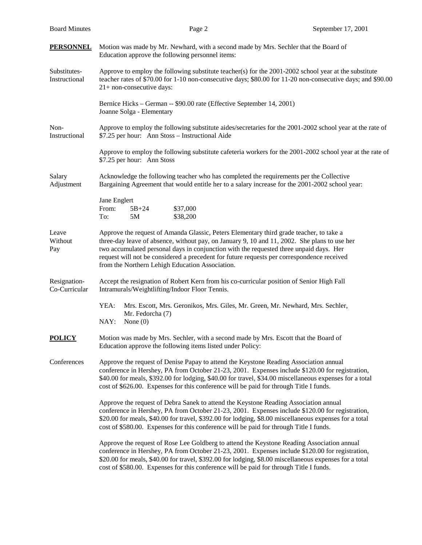| <b>PERSONNEL</b>              | Motion was made by Mr. Newhard, with a second made by Mrs. Sechler that the Board of<br>Education approve the following personnel items:                                                                                                                                                                                                                                                                                           |  |  |  |  |
|-------------------------------|------------------------------------------------------------------------------------------------------------------------------------------------------------------------------------------------------------------------------------------------------------------------------------------------------------------------------------------------------------------------------------------------------------------------------------|--|--|--|--|
| Substitutes-<br>Instructional | Approve to employ the following substitute teacher(s) for the 2001-2002 school year at the substitute<br>teacher rates of \$70.00 for 1-10 non-consecutive days; \$80.00 for 11-20 non-consecutive days; and \$90.00<br>21+ non-consecutive days:                                                                                                                                                                                  |  |  |  |  |
|                               | Bernice Hicks – German -- \$90.00 rate (Effective September 14, 2001)<br>Joanne Solga - Elementary                                                                                                                                                                                                                                                                                                                                 |  |  |  |  |
| Non-<br>Instructional         | Approve to employ the following substitute aides/secretaries for the 2001-2002 school year at the rate of<br>\$7.25 per hour: Ann Stoss - Instructional Aide                                                                                                                                                                                                                                                                       |  |  |  |  |
|                               | Approve to employ the following substitute cafeteria workers for the 2001-2002 school year at the rate of<br>\$7.25 per hour: Ann Stoss                                                                                                                                                                                                                                                                                            |  |  |  |  |
| Salary<br>Adjustment          | Acknowledge the following teacher who has completed the requirements per the Collective<br>Bargaining Agreement that would entitle her to a salary increase for the 2001-2002 school year:                                                                                                                                                                                                                                         |  |  |  |  |
|                               | Jane Englert<br>From:<br>$5B + 24$<br>\$37,000<br>5M<br>\$38,200<br>To:                                                                                                                                                                                                                                                                                                                                                            |  |  |  |  |
| Leave<br>Without<br>Pay       | Approve the request of Amanda Glassic, Peters Elementary third grade teacher, to take a<br>three-day leave of absence, without pay, on January 9, 10 and 11, 2002. She plans to use her<br>two accumulated personal days in conjunction with the requested three unpaid days. Her<br>request will not be considered a precedent for future requests per correspondence received<br>from the Northern Lehigh Education Association. |  |  |  |  |
| Resignation-<br>Co-Curricular | Accept the resignation of Robert Kern from his co-curricular position of Senior High Fall<br>Intramurals/Weightlifting/Indoor Floor Tennis.                                                                                                                                                                                                                                                                                        |  |  |  |  |
|                               | YEA:<br>Mrs. Escott, Mrs. Geronikos, Mrs. Giles, Mr. Green, Mr. Newhard, Mrs. Sechler,<br>Mr. Fedorcha (7)<br>NAY:<br>None $(0)$                                                                                                                                                                                                                                                                                                   |  |  |  |  |
| <b>POLICY</b>                 | Motion was made by Mrs. Sechler, with a second made by Mrs. Escott that the Board of<br>Education approve the following items listed under Policy:                                                                                                                                                                                                                                                                                 |  |  |  |  |
| Conferences                   | Approve the request of Denise Papay to attend the Keystone Reading Association annual<br>conference in Hershey, PA from October 21-23, 2001. Expenses include \$120.00 for registration,<br>\$40.00 for meals, \$392.00 for lodging, \$40.00 for travel, \$34.00 miscellaneous expenses for a total<br>cost of \$626.00. Expenses for this conference will be paid for through Title I funds.                                      |  |  |  |  |
|                               | Approve the request of Debra Sanek to attend the Keystone Reading Association annual<br>conference in Hershey, PA from October 21-23, 2001. Expenses include \$120.00 for registration,<br>\$20.00 for meals, \$40.00 for travel, \$392.00 for lodging, \$8.00 miscellaneous expenses for a total<br>cost of \$580.00. Expenses for this conference will be paid for through Title I funds.                                        |  |  |  |  |
|                               | Approve the request of Rose Lee Goldberg to attend the Keystone Reading Association annual<br>conference in Hershey, PA from October 21-23, 2001. Expenses include \$120.00 for registration,<br>\$20.00 for meals, \$40.00 for travel, \$392.00 for lodging, \$8.00 miscellaneous expenses for a total<br>cost of \$580.00. Expenses for this conference will be paid for through Title I funds.                                  |  |  |  |  |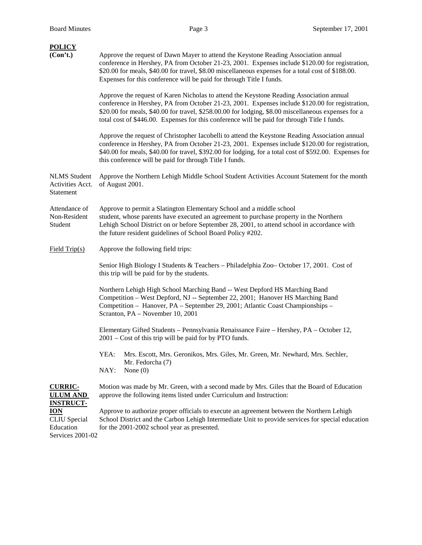| <b>POLICY</b><br>(Con't.)                             | Approve the request of Dawn Mayer to attend the Keystone Reading Association annual<br>conference in Hershey, PA from October 21-23, 2001. Expenses include \$120.00 for registration,<br>\$20.00 for meals, \$40.00 for travel, \$8.00 miscellaneous expenses for a total cost of \$188.00.<br>Expenses for this conference will be paid for through Title I funds.                              |  |  |  |  |
|-------------------------------------------------------|---------------------------------------------------------------------------------------------------------------------------------------------------------------------------------------------------------------------------------------------------------------------------------------------------------------------------------------------------------------------------------------------------|--|--|--|--|
|                                                       | Approve the request of Karen Nicholas to attend the Keystone Reading Association annual<br>conference in Hershey, PA from October 21-23, 2001. Expenses include \$120.00 for registration,<br>\$20.00 for meals, \$40.00 for travel, \$258.00.00 for lodging, \$8.00 miscellaneous expenses for a<br>total cost of \$446.00. Expenses for this conference will be paid for through Title I funds. |  |  |  |  |
|                                                       | Approve the request of Christopher Iacobelli to attend the Keystone Reading Association annual<br>conference in Hershey, PA from October 21-23, 2001. Expenses include \$120.00 for registration,<br>\$40.00 for meals, \$40.00 for travel, \$392.00 for lodging, for a total cost of \$592.00. Expenses for<br>this conference will be paid for through Title I funds.                           |  |  |  |  |
| <b>NLMS</b> Student<br>Activities Acct.<br>Statement  | Approve the Northern Lehigh Middle School Student Activities Account Statement for the month<br>of August 2001.                                                                                                                                                                                                                                                                                   |  |  |  |  |
| Attendance of<br>Non-Resident<br>Student              | Approve to permit a Slatington Elementary School and a middle school<br>student, whose parents have executed an agreement to purchase property in the Northern<br>Lehigh School District on or before September 28, 2001, to attend school in accordance with<br>the future resident guidelines of School Board Policy #202.                                                                      |  |  |  |  |
| Field $Trip(s)$                                       | Approve the following field trips:                                                                                                                                                                                                                                                                                                                                                                |  |  |  |  |
|                                                       | Senior High Biology I Students & Teachers - Philadelphia Zoo-October 17, 2001. Cost of<br>this trip will be paid for by the students.                                                                                                                                                                                                                                                             |  |  |  |  |
|                                                       | Northern Lehigh High School Marching Band -- West Depford HS Marching Band<br>Competition - West Depford, NJ -- September 22, 2001; Hanover HS Marching Band<br>Competition - Hanover, PA - September 29, 2001; Atlantic Coast Championships -<br>Scranton, PA - November 10, 2001                                                                                                                |  |  |  |  |
|                                                       | Elementary Gifted Students - Pennsylvania Renaissance Faire - Hershey, PA - October 12,<br>$2001 - \text{Cost of this trip will be paid for by PTO funds.}$                                                                                                                                                                                                                                       |  |  |  |  |
|                                                       | YEA:<br>Mrs. Escott, Mrs. Geronikos, Mrs. Giles, Mr. Green, Mr. Newhard, Mrs. Sechler,<br>Mr. Fedorcha (7)<br>NAY:<br>None $(0)$                                                                                                                                                                                                                                                                  |  |  |  |  |
| <b>CURRIC-</b><br><b>ULUM AND</b><br><b>INSTRUCT-</b> | Motion was made by Mr. Green, with a second made by Mrs. Giles that the Board of Education<br>approve the following items listed under Curriculum and Instruction:                                                                                                                                                                                                                                |  |  |  |  |
| <b>ION</b>                                            | Approve to authorize proper officials to execute an agreement between the Northern Lehigh                                                                                                                                                                                                                                                                                                         |  |  |  |  |

Services 2001-02

CLIU Special School District and the Carbon Lehigh Intermediate Unit to provide services for special education Education for the 2001-2002 school year as presented.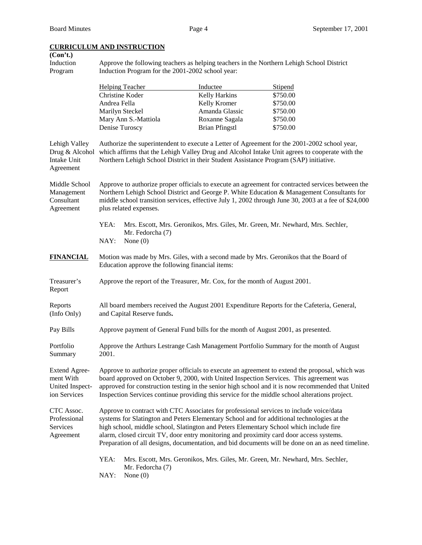## **CURRICULUM AND INSTRUCTION**

| (Con't.)<br>Induction<br>Program                                            | Approve the following teachers as helping teachers in the Northern Lehigh School District<br>Induction Program for the 2001-2002 school year:                                                                                                                                                                                                                                                                                                                                   |                                |                       |                                                                                |  |  |  |
|-----------------------------------------------------------------------------|---------------------------------------------------------------------------------------------------------------------------------------------------------------------------------------------------------------------------------------------------------------------------------------------------------------------------------------------------------------------------------------------------------------------------------------------------------------------------------|--------------------------------|-----------------------|--------------------------------------------------------------------------------|--|--|--|
|                                                                             |                                                                                                                                                                                                                                                                                                                                                                                                                                                                                 | <b>Helping Teacher</b>         | Inductee              | <b>Stipend</b>                                                                 |  |  |  |
|                                                                             | Christine Koder                                                                                                                                                                                                                                                                                                                                                                                                                                                                 |                                | Kelly Harkins         | \$750.00                                                                       |  |  |  |
|                                                                             | Andrea Fella                                                                                                                                                                                                                                                                                                                                                                                                                                                                    |                                | Kelly Kromer          | \$750.00                                                                       |  |  |  |
|                                                                             | Marilyn Steckel                                                                                                                                                                                                                                                                                                                                                                                                                                                                 |                                | Amanda Glassic        | \$750.00                                                                       |  |  |  |
|                                                                             |                                                                                                                                                                                                                                                                                                                                                                                                                                                                                 | Mary Ann S.-Mattiola           | Roxanne Sagala        | \$750.00                                                                       |  |  |  |
|                                                                             | Denise Turoscy                                                                                                                                                                                                                                                                                                                                                                                                                                                                  |                                | <b>Brian Pfingstl</b> | \$750.00                                                                       |  |  |  |
| Lehigh Valley<br>Drug & Alcohol<br>Intake Unit<br>Agreement                 | Authorize the superintendent to execute a Letter of Agreement for the 2001-2002 school year,<br>which affirms that the Lehigh Valley Drug and Alcohol Intake Unit agrees to cooperate with the<br>Northern Lehigh School District in their Student Assistance Program (SAP) initiative.                                                                                                                                                                                         |                                |                       |                                                                                |  |  |  |
| Middle School<br>Management<br>Consultant<br>Agreement                      | Approve to authorize proper officials to execute an agreement for contracted services between the<br>Northern Lehigh School District and George P. White Education & Management Consultants for<br>middle school transition services, effective July 1, 2002 through June 30, 2003 at a fee of \$24,000<br>plus related expenses.                                                                                                                                               |                                |                       |                                                                                |  |  |  |
|                                                                             | YEA:<br>Mrs. Escott, Mrs. Geronikos, Mrs. Giles, Mr. Green, Mr. Newhard, Mrs. Sechler,                                                                                                                                                                                                                                                                                                                                                                                          |                                |                       |                                                                                |  |  |  |
|                                                                             | Mr. Fedorcha (7)<br>NAY:<br>None $(0)$                                                                                                                                                                                                                                                                                                                                                                                                                                          |                                |                       |                                                                                |  |  |  |
| <u>FINANCIAL</u>                                                            | Motion was made by Mrs. Giles, with a second made by Mrs. Geronikos that the Board of<br>Education approve the following financial items:                                                                                                                                                                                                                                                                                                                                       |                                |                       |                                                                                |  |  |  |
| Treasurer's<br>Report                                                       | Approve the report of the Treasurer, Mr. Cox, for the month of August 2001.                                                                                                                                                                                                                                                                                                                                                                                                     |                                |                       |                                                                                |  |  |  |
| Reports<br>(Info Only)                                                      | All board members received the August 2001 Expenditure Reports for the Cafeteria, General,<br>and Capital Reserve funds.                                                                                                                                                                                                                                                                                                                                                        |                                |                       |                                                                                |  |  |  |
| Pay Bills                                                                   | Approve payment of General Fund bills for the month of August 2001, as presented.                                                                                                                                                                                                                                                                                                                                                                                               |                                |                       |                                                                                |  |  |  |
| Portfolio<br>Summary                                                        | Approve the Arthurs Lestrange Cash Management Portfolio Summary for the month of August<br>2001.                                                                                                                                                                                                                                                                                                                                                                                |                                |                       |                                                                                |  |  |  |
| <b>Extend Agree-</b><br>ment With<br><b>United Inspect-</b><br>ion Services | Approve to authorize proper officials to execute an agreement to extend the proposal, which was<br>board approved on October 9, 2000, with United Inspection Services. This agreement was<br>approved for construction testing in the senior high school and it is now recommended that United<br>Inspection Services continue providing this service for the middle school alterations project.                                                                                |                                |                       |                                                                                |  |  |  |
| CTC Assoc.<br>Professional<br>Services<br>Agreement                         | Approve to contract with CTC Associates for professional services to include voice/data<br>systems for Slatington and Peters Elementary School and for additional technologies at the<br>high school, middle school, Slatington and Peters Elementary School which include fire<br>alarm, closed circuit TV, door entry monitoring and proximity card door access systems.<br>Preparation of all designs, documentation, and bid documents will be done on an as need timeline. |                                |                       |                                                                                |  |  |  |
|                                                                             | YEA:<br>NAY:                                                                                                                                                                                                                                                                                                                                                                                                                                                                    | Mr. Fedorcha (7)<br>None $(0)$ |                       | Mrs. Escott, Mrs. Geronikos, Mrs. Giles, Mr. Green, Mr. Newhard, Mrs. Sechler, |  |  |  |